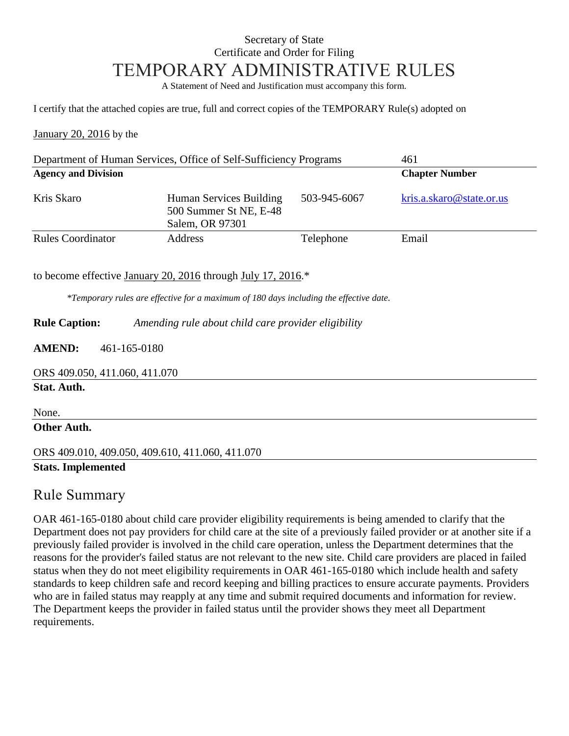## Secretary of State Certificate and Order for Filing TEMPORARY ADMINISTRATIVE RULES

A Statement of Need and Justification must accompany this form.

I certify that the attached copies are true, full and correct copies of the TEMPORARY Rule(s) adopted on

January 20, 2016 by the

| Department of Human Services, Office of Self-Sufficiency Programs |                                                                      |              | 461                      |
|-------------------------------------------------------------------|----------------------------------------------------------------------|--------------|--------------------------|
| <b>Agency and Division</b>                                        |                                                                      |              | <b>Chapter Number</b>    |
| Kris Skaro                                                        | Human Services Building<br>500 Summer St NE, E-48<br>Salem, OR 97301 | 503-945-6067 | kris.a.skaro@state.or.us |
| <b>Rules Coordinator</b>                                          | Address                                                              | Telephone    | Email                    |

to become effective January 20, 2016 through July 17, 2016.\*

*\*Temporary rules are effective for a maximum of 180 days including the effective date.*

**Rule Caption:** *Amending rule about child care provider eligibility*

**AMEND:** 461-165-0180

ORS 409.050, 411.060, 411.070

**Stat. Auth.**

None.

### **Other Auth.**

ORS 409.010, 409.050, 409.610, 411.060, 411.070 **Stats. Implemented**

### Rule Summary

OAR 461-165-0180 about child care provider eligibility requirements is being amended to clarify that the Department does not pay providers for child care at the site of a previously failed provider or at another site if a previously failed provider is involved in the child care operation, unless the Department determines that the reasons for the provider's failed status are not relevant to the new site. Child care providers are placed in failed status when they do not meet eligibility requirements in OAR 461-165-0180 which include health and safety standards to keep children safe and record keeping and billing practices to ensure accurate payments. Providers who are in failed status may reapply at any time and submit required documents and information for review. The Department keeps the provider in failed status until the provider shows they meet all Department requirements.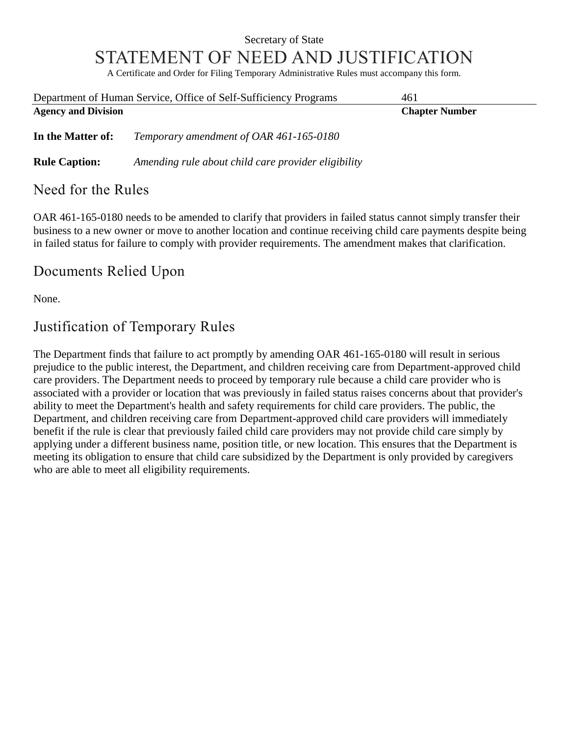## Secretary of State STATEMENT OF NEED AND JUSTIFICATION

A Certificate and Order for Filing Temporary Administrative Rules must accompany this form.

| Department of Human Service, Office of Self-Sufficiency Programs |                                                     | 461                   |  |
|------------------------------------------------------------------|-----------------------------------------------------|-----------------------|--|
| <b>Agency and Division</b>                                       |                                                     | <b>Chapter Number</b> |  |
| In the Matter of:                                                | Temporary amendment of OAR 461-165-0180             |                       |  |
| <b>Rule Caption:</b>                                             | Amending rule about child care provider eligibility |                       |  |
|                                                                  |                                                     |                       |  |

## Need for the Rules

OAR 461-165-0180 needs to be amended to clarify that providers in failed status cannot simply transfer their business to a new owner or move to another location and continue receiving child care payments despite being in failed status for failure to comply with provider requirements. The amendment makes that clarification.

## Documents Relied Upon

None.

# Justification of Temporary Rules

The Department finds that failure to act promptly by amending OAR 461-165-0180 will result in serious prejudice to the public interest, the Department, and children receiving care from Department-approved child care providers. The Department needs to proceed by temporary rule because a child care provider who is associated with a provider or location that was previously in failed status raises concerns about that provider's ability to meet the Department's health and safety requirements for child care providers. The public, the Department, and children receiving care from Department-approved child care providers will immediately benefit if the rule is clear that previously failed child care providers may not provide child care simply by applying under a different business name, position title, or new location. This ensures that the Department is meeting its obligation to ensure that child care subsidized by the Department is only provided by caregivers who are able to meet all eligibility requirements.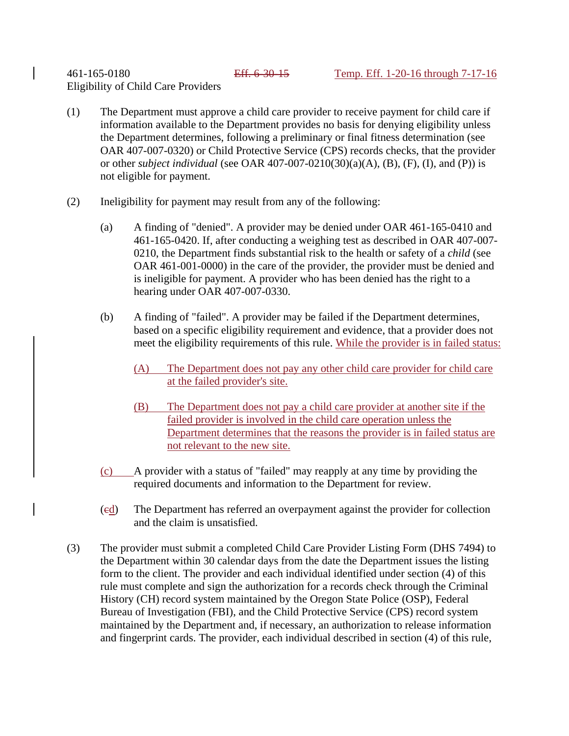#### 461-165-0180 Eff. 6-30-15 Temp. Eff. 1-20-16 through 7-17-16 Eligibility of Child Care Providers

- (1) The Department must approve a child care provider to receive payment for child care if information available to the Department provides no basis for denying eligibility unless the Department determines, following a preliminary or final fitness determination (see OAR 407-007-0320) or Child Protective Service (CPS) records checks, that the provider or other *subject individual* (see OAR 407-007-0210(30)(a)(A), (B), (F), (I), and (P)) is not eligible for payment.
- (2) Ineligibility for payment may result from any of the following:
	- (a) A finding of "denied". A provider may be denied under OAR 461-165-0410 and 461-165-0420. If, after conducting a weighing test as described in OAR 407-007- 0210, the Department finds substantial risk to the health or safety of a *child* (see OAR 461-001-0000) in the care of the provider, the provider must be denied and is ineligible for payment. A provider who has been denied has the right to a hearing under OAR 407-007-0330.
	- (b) A finding of "failed". A provider may be failed if the Department determines, based on a specific eligibility requirement and evidence, that a provider does not meet the eligibility requirements of this rule. While the provider is in failed status:
		- (A) The Department does not pay any other child care provider for child care at the failed provider's site.
		- (B) The Department does not pay a child care provider at another site if the failed provider is involved in the child care operation unless the Department determines that the reasons the provider is in failed status are not relevant to the new site.
	- (c) A provider with a status of "failed" may reapply at any time by providing the required documents and information to the Department for review.
	- (cd) The Department has referred an overpayment against the provider for collection and the claim is unsatisfied.
- (3) The provider must submit a completed Child Care Provider Listing Form (DHS 7494) to the Department within 30 calendar days from the date the Department issues the listing form to the client. The provider and each individual identified under section (4) of this rule must complete and sign the authorization for a records check through the Criminal History (CH) record system maintained by the Oregon State Police (OSP), Federal Bureau of Investigation (FBI), and the Child Protective Service (CPS) record system maintained by the Department and, if necessary, an authorization to release information and fingerprint cards. The provider, each individual described in section (4) of this rule,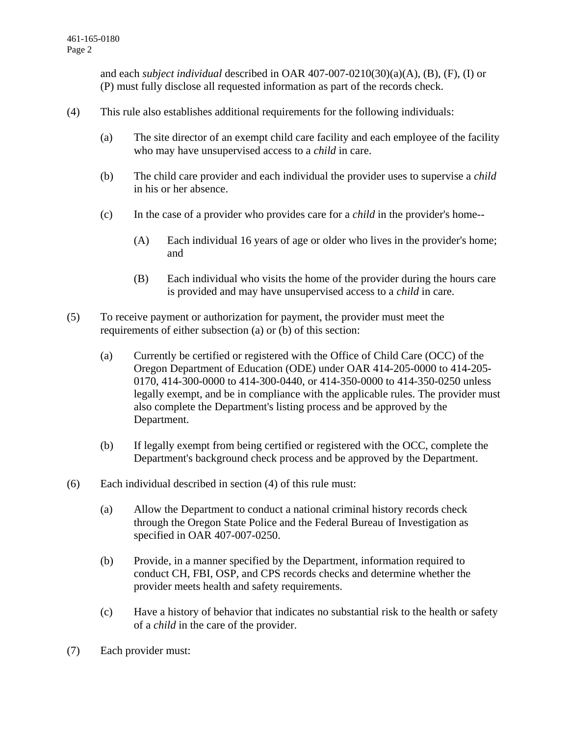and each *subject individual* described in OAR 407-007-0210(30)(a)(A), (B), (F), (I) or (P) must fully disclose all requested information as part of the records check.

- (4) This rule also establishes additional requirements for the following individuals:
	- (a) The site director of an exempt child care facility and each employee of the facility who may have unsupervised access to a *child* in care.
	- (b) The child care provider and each individual the provider uses to supervise a *child* in his or her absence.
	- (c) In the case of a provider who provides care for a *child* in the provider's home--
		- (A) Each individual 16 years of age or older who lives in the provider's home; and
		- (B) Each individual who visits the home of the provider during the hours care is provided and may have unsupervised access to a *child* in care.
- (5) To receive payment or authorization for payment, the provider must meet the requirements of either subsection (a) or (b) of this section:
	- (a) Currently be certified or registered with the Office of Child Care (OCC) of the Oregon Department of Education (ODE) under OAR 414-205-0000 to 414-205- 0170, 414-300-0000 to 414-300-0440, or 414-350-0000 to 414-350-0250 unless legally exempt, and be in compliance with the applicable rules. The provider must also complete the Department's listing process and be approved by the Department.
	- (b) If legally exempt from being certified or registered with the OCC, complete the Department's background check process and be approved by the Department.
- (6) Each individual described in section (4) of this rule must:
	- (a) Allow the Department to conduct a national criminal history records check through the Oregon State Police and the Federal Bureau of Investigation as specified in OAR 407-007-0250.
	- (b) Provide, in a manner specified by the Department, information required to conduct CH, FBI, OSP, and CPS records checks and determine whether the provider meets health and safety requirements.
	- (c) Have a history of behavior that indicates no substantial risk to the health or safety of a *child* in the care of the provider.
- (7) Each provider must: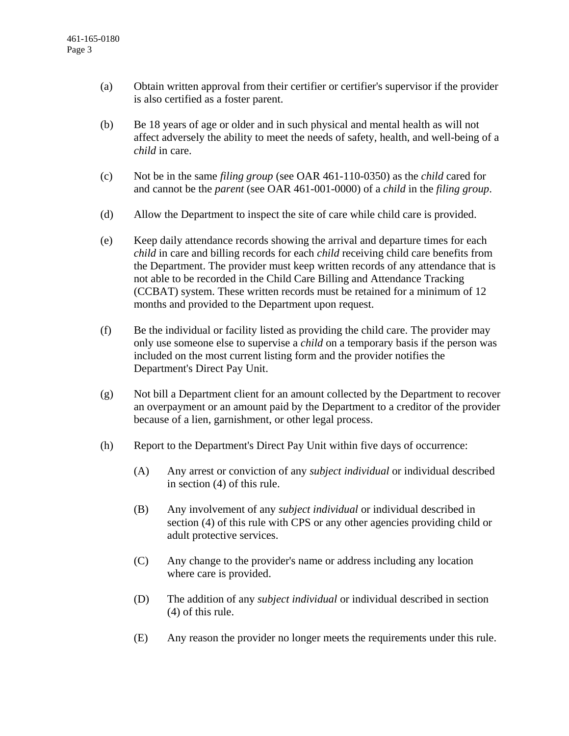- (a) Obtain written approval from their certifier or certifier's supervisor if the provider is also certified as a foster parent.
- (b) Be 18 years of age or older and in such physical and mental health as will not affect adversely the ability to meet the needs of safety, health, and well-being of a *child* in care.
- (c) Not be in the same *filing group* (see OAR 461-110-0350) as the *child* cared for and cannot be the *parent* (see OAR 461-001-0000) of a *child* in the *filing group*.
- (d) Allow the Department to inspect the site of care while child care is provided.
- (e) Keep daily attendance records showing the arrival and departure times for each *child* in care and billing records for each *child* receiving child care benefits from the Department. The provider must keep written records of any attendance that is not able to be recorded in the Child Care Billing and Attendance Tracking (CCBAT) system. These written records must be retained for a minimum of 12 months and provided to the Department upon request.
- (f) Be the individual or facility listed as providing the child care. The provider may only use someone else to supervise a *child* on a temporary basis if the person was included on the most current listing form and the provider notifies the Department's Direct Pay Unit.
- (g) Not bill a Department client for an amount collected by the Department to recover an overpayment or an amount paid by the Department to a creditor of the provider because of a lien, garnishment, or other legal process.
- (h) Report to the Department's Direct Pay Unit within five days of occurrence:
	- (A) Any arrest or conviction of any *subject individual* or individual described in section (4) of this rule.
	- (B) Any involvement of any *subject individual* or individual described in section (4) of this rule with CPS or any other agencies providing child or adult protective services.
	- (C) Any change to the provider's name or address including any location where care is provided.
	- (D) The addition of any *subject individual* or individual described in section (4) of this rule.
	- (E) Any reason the provider no longer meets the requirements under this rule.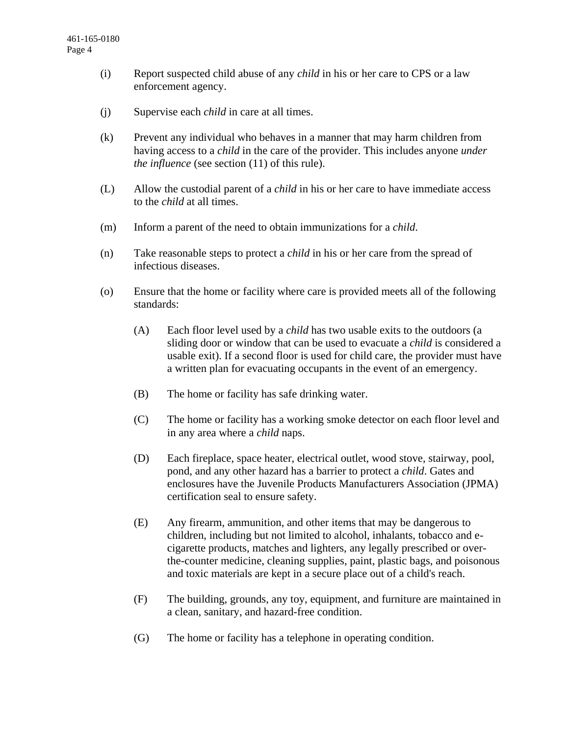- (i) Report suspected child abuse of any *child* in his or her care to CPS or a law enforcement agency.
- (j) Supervise each *child* in care at all times.
- (k) Prevent any individual who behaves in a manner that may harm children from having access to a *child* in the care of the provider. This includes anyone *under the influence* (see section (11) of this rule).
- (L) Allow the custodial parent of a *child* in his or her care to have immediate access to the *child* at all times.
- (m) Inform a parent of the need to obtain immunizations for a *child*.
- (n) Take reasonable steps to protect a *child* in his or her care from the spread of infectious diseases.
- (o) Ensure that the home or facility where care is provided meets all of the following standards:
	- (A) Each floor level used by a *child* has two usable exits to the outdoors (a sliding door or window that can be used to evacuate a *child* is considered a usable exit). If a second floor is used for child care, the provider must have a written plan for evacuating occupants in the event of an emergency.
	- (B) The home or facility has safe drinking water.
	- (C) The home or facility has a working smoke detector on each floor level and in any area where a *child* naps.
	- (D) Each fireplace, space heater, electrical outlet, wood stove, stairway, pool, pond, and any other hazard has a barrier to protect a *child*. Gates and enclosures have the Juvenile Products Manufacturers Association (JPMA) certification seal to ensure safety.
	- (E) Any firearm, ammunition, and other items that may be dangerous to children, including but not limited to alcohol, inhalants, tobacco and ecigarette products, matches and lighters, any legally prescribed or overthe-counter medicine, cleaning supplies, paint, plastic bags, and poisonous and toxic materials are kept in a secure place out of a child's reach.
	- (F) The building, grounds, any toy, equipment, and furniture are maintained in a clean, sanitary, and hazard-free condition.
	- (G) The home or facility has a telephone in operating condition.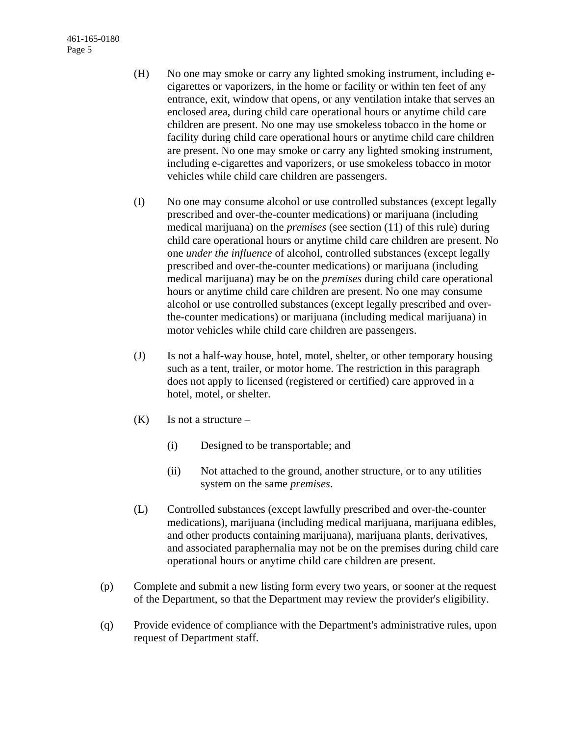461-165-0180 Page 5

- (H) No one may smoke or carry any lighted smoking instrument, including ecigarettes or vaporizers, in the home or facility or within ten feet of any entrance, exit, window that opens, or any ventilation intake that serves an enclosed area, during child care operational hours or anytime child care children are present. No one may use smokeless tobacco in the home or facility during child care operational hours or anytime child care children are present. No one may smoke or carry any lighted smoking instrument, including e-cigarettes and vaporizers, or use smokeless tobacco in motor vehicles while child care children are passengers.
- (I) No one may consume alcohol or use controlled substances (except legally prescribed and over-the-counter medications) or marijuana (including medical marijuana) on the *premises* (see section (11) of this rule) during child care operational hours or anytime child care children are present. No one *under the influence* of alcohol, controlled substances (except legally prescribed and over-the-counter medications) or marijuana (including medical marijuana) may be on the *premises* during child care operational hours or anytime child care children are present. No one may consume alcohol or use controlled substances (except legally prescribed and overthe-counter medications) or marijuana (including medical marijuana) in motor vehicles while child care children are passengers.
- (J) Is not a half-way house, hotel, motel, shelter, or other temporary housing such as a tent, trailer, or motor home. The restriction in this paragraph does not apply to licensed (registered or certified) care approved in a hotel, motel, or shelter.
- $(K)$  Is not a structure
	- (i) Designed to be transportable; and
	- (ii) Not attached to the ground, another structure, or to any utilities system on the same *premises*.
- (L) Controlled substances (except lawfully prescribed and over-the-counter medications), marijuana (including medical marijuana, marijuana edibles, and other products containing marijuana), marijuana plants, derivatives, and associated paraphernalia may not be on the premises during child care operational hours or anytime child care children are present.
- (p) Complete and submit a new listing form every two years, or sooner at the request of the Department, so that the Department may review the provider's eligibility.
- (q) Provide evidence of compliance with the Department's administrative rules, upon request of Department staff.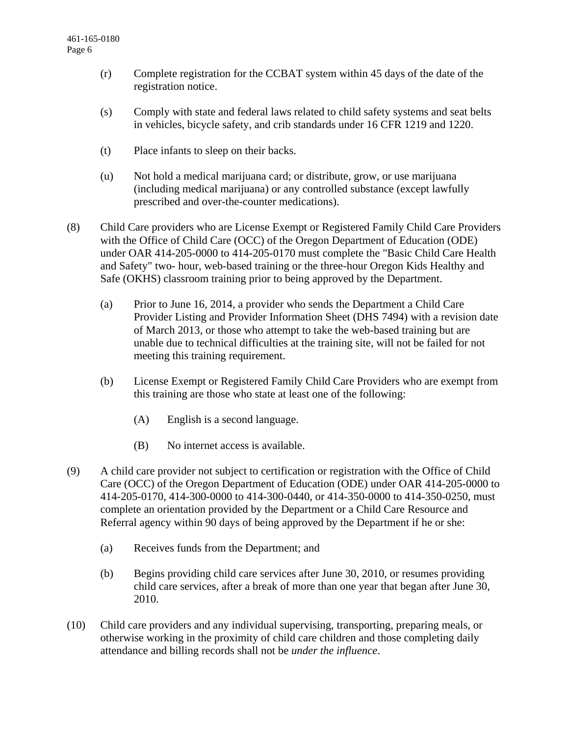- (r) Complete registration for the CCBAT system within 45 days of the date of the registration notice.
- (s) Comply with state and federal laws related to child safety systems and seat belts in vehicles, bicycle safety, and crib standards under 16 CFR 1219 and 1220.
- (t) Place infants to sleep on their backs.
- (u) Not hold a medical marijuana card; or distribute, grow, or use marijuana (including medical marijuana) or any controlled substance (except lawfully prescribed and over-the-counter medications).
- (8) Child Care providers who are License Exempt or Registered Family Child Care Providers with the Office of Child Care (OCC) of the Oregon Department of Education (ODE) under OAR 414-205-0000 to 414-205-0170 must complete the "Basic Child Care Health and Safety" two- hour, web-based training or the three-hour Oregon Kids Healthy and Safe (OKHS) classroom training prior to being approved by the Department.
	- (a) Prior to June 16, 2014, a provider who sends the Department a Child Care Provider Listing and Provider Information Sheet (DHS 7494) with a revision date of March 2013, or those who attempt to take the web-based training but are unable due to technical difficulties at the training site, will not be failed for not meeting this training requirement.
	- (b) License Exempt or Registered Family Child Care Providers who are exempt from this training are those who state at least one of the following:
		- (A) English is a second language.
		- (B) No internet access is available.
- (9) A child care provider not subject to certification or registration with the Office of Child Care (OCC) of the Oregon Department of Education (ODE) under OAR 414-205-0000 to 414-205-0170, 414-300-0000 to 414-300-0440, or 414-350-0000 to 414-350-0250, must complete an orientation provided by the Department or a Child Care Resource and Referral agency within 90 days of being approved by the Department if he or she:
	- (a) Receives funds from the Department; and
	- (b) Begins providing child care services after June 30, 2010, or resumes providing child care services, after a break of more than one year that began after June 30, 2010.
- (10) Child care providers and any individual supervising, transporting, preparing meals, or otherwise working in the proximity of child care children and those completing daily attendance and billing records shall not be *under the influence*.